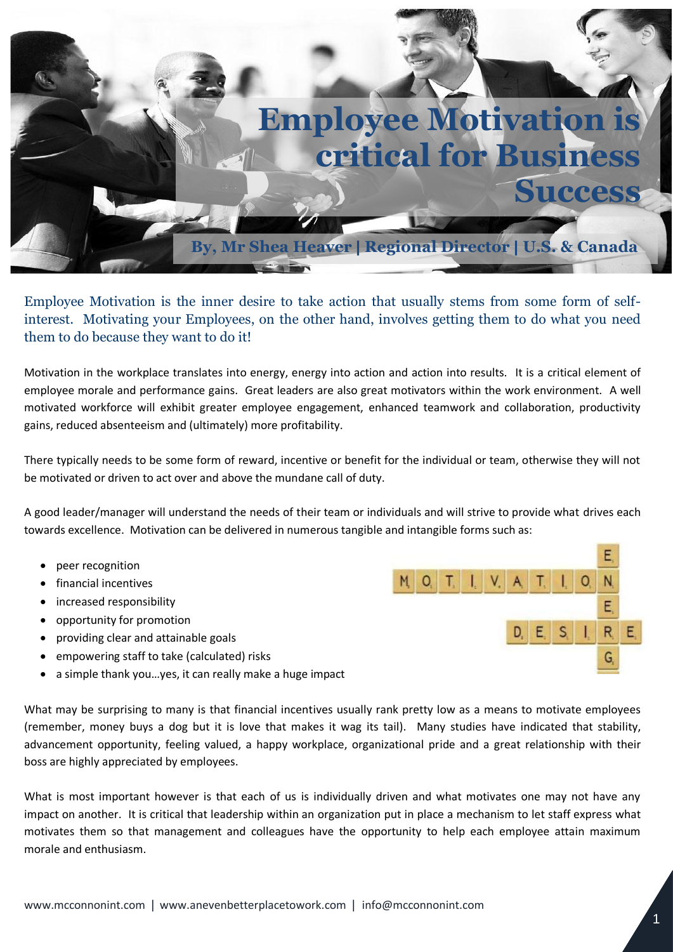

Employee Motivation is the inner desire to take action that usually stems from some form of selfinterest. Motivating your Employees, on the other hand, involves getting them to do what you need them to do because they want to do it!

Motivation in the workplace translates into energy, energy into action and action into results. It is a critical element of employee morale and performance gains. Great leaders are also great motivators within the work environment. A well motivated workforce will exhibit greater employee engagement, enhanced teamwork and collaboration, productivity gains, reduced absenteeism and (ultimately) more profitability.

There typically needs to be some form of reward, incentive or benefit for the individual or team, otherwise they will not be motivated or driven to act over and above the mundane call of duty.

A good leader/manager will understand the needs of their team or individuals and will strive to provide what drives each towards excellence. Motivation can be delivered in numerous tangible and intangible forms such as:

- peer recognition
- financial incentives
- increased responsibility
- opportunity for promotion
- providing clear and attainable goals
- empowering staff to take (calculated) risks
- a simple thank you…yes, it can really make a huge impact

What may be surprising to many is that financial incentives usually rank pretty low as a means to motivate employees (remember, money buys a dog but it is love that makes it wag its tail). Many studies have indicated that stability, advancement opportunity, feeling valued, a happy workplace, organizational pride and a great relationship with their boss are highly appreciated by employees.

What is most important however is that each of us is individually driven and what motivates one may not have any impact on another. It is critical that leadership within an organization put in place a mechanism to let staff express what motivates them so that management and colleagues have the opportunity to help each employee attain maximum morale and enthusiasm.

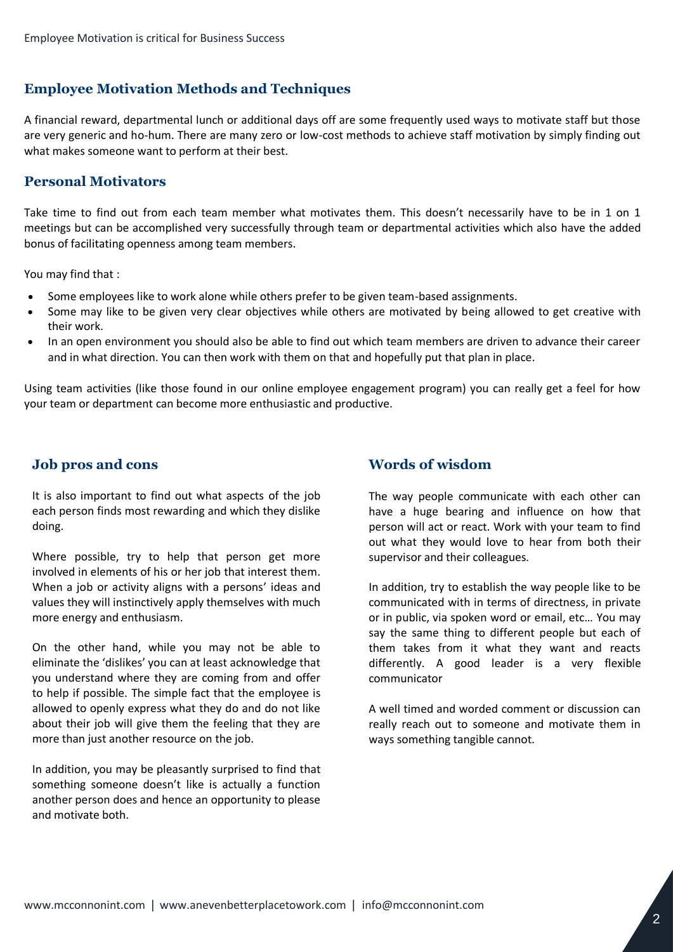# **Employee Motivation Methods and Techniques**

A financial reward, departmental lunch or additional days off are some frequently used ways to motivate staff but those are very generic and ho-hum. There are many zero or low-cost methods to achieve staff motivation by simply finding out what makes someone want to perform at their best.

### **Personal Motivators**

Take time to find out from each team member what motivates them. This doesn't necessarily have to be in 1 on 1 meetings but can be accomplished very successfully through team or departmental activities which also have the added bonus of facilitating openness among team members.

You may find that :

- Some employees like to work alone while others prefer to be given team-based assignments.
- Some may like to be given very clear objectives while others are motivated by being allowed to get creative with their work.
- In an open environment you should also be able to find out which team members are driven to advance their career and in what direction. You can then work with them on that and hopefully put that plan in place.

Using team activities (like those found in our online employee engagement program) you can really get a feel for how your team or department can become more enthusiastic and productive.

#### **Job pros and cons**

It is also important to find out what aspects of the job each person finds most rewarding and which they dislike doing.

Where possible, try to help that person get more involved in elements of his or her job that interest them. When a job or activity aligns with a persons' ideas and values they will instinctively apply themselves with much more energy and enthusiasm.

On the other hand, while you may not be able to eliminate the 'dislikes' you can at least acknowledge that you understand where they are coming from and offer to help if possible. The simple fact that the employee is allowed to openly express what they do and do not like about their job will give them the feeling that they are more than just another resource on the job.

In addition, you may be pleasantly surprised to find that something someone doesn't like is actually a function another person does and hence an opportunity to please and motivate both.

## **Words of wisdom**

The way people communicate with each other can have a huge bearing and influence on how that person will act or react. Work with your team to find out what they would love to hear from both their supervisor and their colleagues.

In addition, try to establish the way people like to be communicated with in terms of directness, in private or in public, via spoken word or email, etc… You may say the same thing to different people but each of them takes from it what they want and reacts differently. A good leader is a very flexible communicator

A well timed and worded comment or discussion can really reach out to someone and motivate them in ways something tangible cannot.